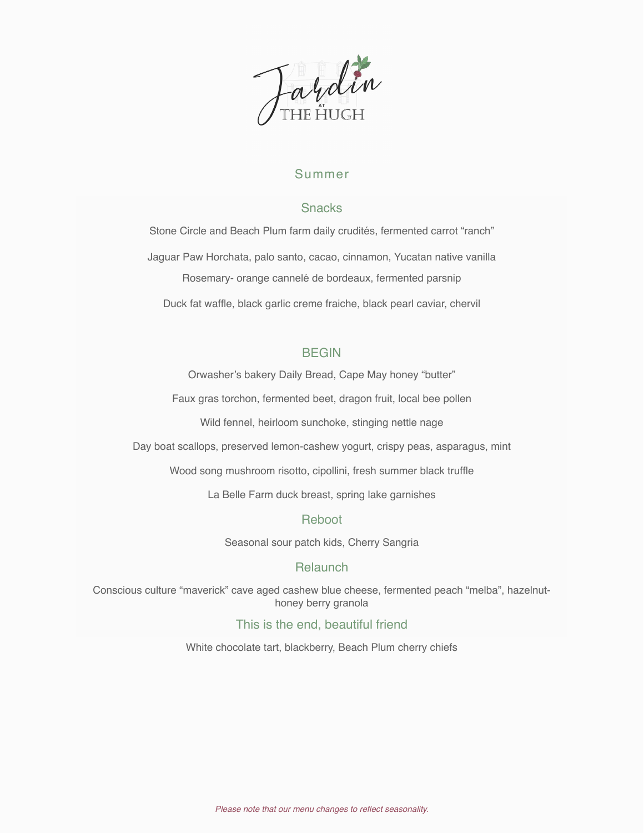

# Summer

## Snacks

Stone Circle and Beach Plum farm daily crudités, fermented carrot "ranch" Jaguar Paw Horchata, palo santo, cacao, cinnamon, Yucatan native vanilla Rosemary- orange cannelé de bordeaux, fermented parsnip Duck fat waffle, black garlic creme fraiche, black pearl caviar, chervil

## BEGIN

Orwasher's bakery Daily Bread, Cape May honey "butter"

Faux gras torchon, fermented beet, dragon fruit, local bee pollen

Wild fennel, heirloom sunchoke, stinging nettle nage

Day boat scallops, preserved lemon-cashew yogurt, crispy peas, asparagus, mint

Wood song mushroom risotto, cipollini, fresh summer black truffle

La Belle Farm duck breast, spring lake garnishes

#### Reboot

Seasonal sour patch kids, Cherry Sangria

# **Relaunch**

Conscious culture "maverick" cave aged cashew blue cheese, fermented peach "melba", hazelnuthoney berry granola

#### This is the end, beautiful friend

White chocolate tart, blackberry, Beach Plum cherry chiefs